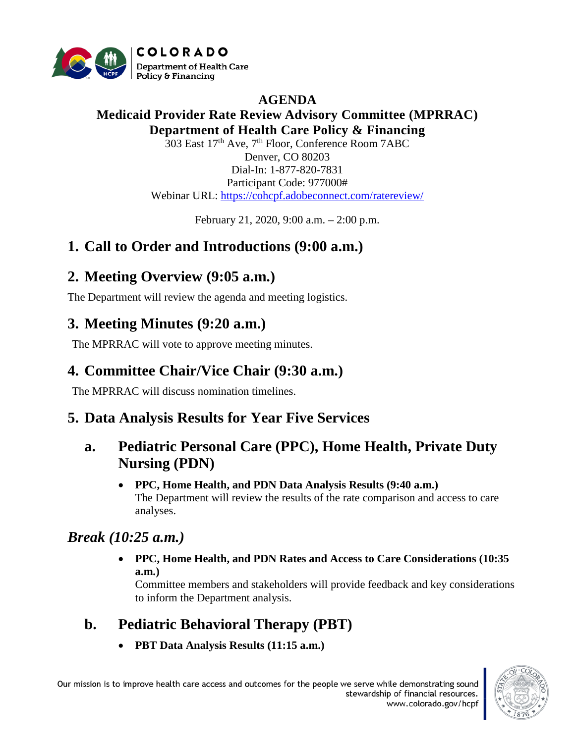

## **AGENDA**

#### **Medicaid Provider Rate Review Advisory Committee (MPRRAC) Department of Health Care Policy & Financing**

303 East 17<sup>th</sup> Ave, 7<sup>th</sup> Floor, Conference Room 7ABC Denver, CO 80203 Dial-In: 1-877-820-7831 Participant Code: 977000# Webinar URL:<https://cohcpf.adobeconnect.com/ratereview/>

February 21, 2020, 9:00 a.m. – 2:00 p.m.

### **1. Call to Order and Introductions (9:00 a.m.)**

### **2. Meeting Overview (9:05 a.m.)**

The Department will review the agenda and meeting logistics.

### **3. Meeting Minutes (9:20 a.m.)**

The MPRRAC will vote to approve meeting minutes.

## **4. Committee Chair/Vice Chair (9:30 a.m.)**

The MPRRAC will discuss nomination timelines.

### **5. Data Analysis Results for Year Five Services**

### **a. Pediatric Personal Care (PPC), Home Health, Private Duty Nursing (PDN)**

• **PPC, Home Health, and PDN Data Analysis Results (9:40 a.m.)** The Department will review the results of the rate comparison and access to care analyses.

### *Break (10:25 a.m.)*

• **PPC, Home Health, and PDN Rates and Access to Care Considerations (10:35 a.m.)**

Committee members and stakeholders will provide feedback and key considerations to inform the Department analysis.

# **b. Pediatric Behavioral Therapy (PBT)**

• **PBT Data Analysis Results (11:15 a.m.)**